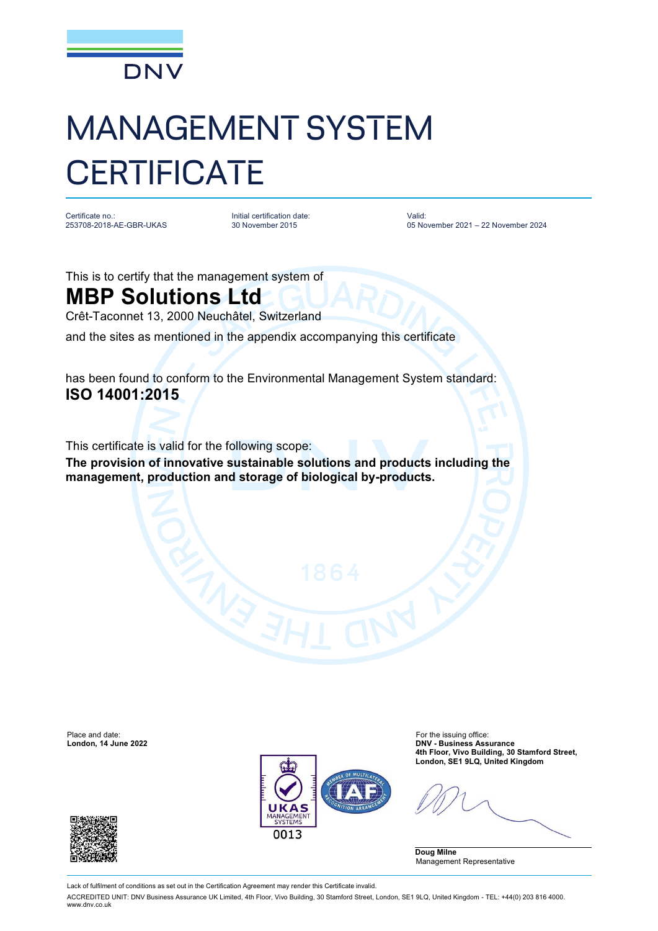

## MANAGEMENT SYSTEM **CERTIFICATE**

Certificate no.: 253708-2018-AE-GBR-UKAS

Initial certification date: 30 November 2015

Valid: 05 November 2021 – 22 November 2024

This is to certify that the management system of

## **MBP Solutions Ltd**

Crêt-Taconnet 13, 2000 Neuchâtel, Switzerland

and the sites as mentioned in the appendix accompanying this certificate

has been found to conform to the Environmental Management System standard: **ISO 14001:2015**

This certificate is valid for the following scope:

**The provision of innovative sustainable solutions and products including the management, production and storage of biological by-products.**



Place and date: For the issuing office: **London, 14 June 2022 DNV - Business Assurance 4th Floor, Vivo Building, 30 Stamford Street, London, SE1 9LQ, United Kingdom**

**Doug Milne** Management Representative



Lack of fulfilment of conditions as set out in the Certification Agreement may render this Certificate invalid.

ACCREDITED UNIT: DNV Business Assurance UK Limited, 4th Floor, Vivo Building, 30 Stamford Street, London, SE1 9LQ, United Kingdom - TEL: +44(0) 203 816 4000. [www.dnv.co.uk](http://www.dnv.co.uk)